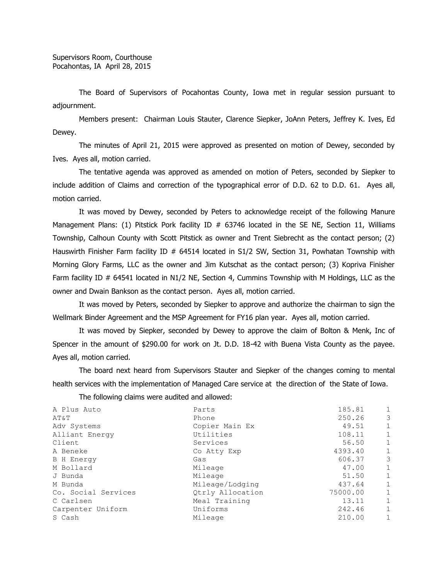The Board of Supervisors of Pocahontas County, Iowa met in regular session pursuant to adjournment.

Members present: Chairman Louis Stauter, Clarence Siepker, JoAnn Peters, Jeffrey K. Ives, Ed Dewey.

The minutes of April 21, 2015 were approved as presented on motion of Dewey, seconded by Ives. Ayes all, motion carried.

The tentative agenda was approved as amended on motion of Peters, seconded by Siepker to include addition of Claims and correction of the typographical error of D.D. 62 to D.D. 61. Ayes all, motion carried.

It was moved by Dewey, seconded by Peters to acknowledge receipt of the following Manure Management Plans: (1) Pitstick Pork facility ID # 63746 located in the SE NE, Section 11, Williams Township, Calhoun County with Scott Pitstick as owner and Trent Siebrecht as the contact person; (2) Hauswirth Finisher Farm facility ID  $#$  64514 located in S1/2 SW, Section 31, Powhatan Township with Morning Glory Farms, LLC as the owner and Jim Kutschat as the contact person; (3) Kopriva Finisher Farm facility ID # 64541 located in N1/2 NE, Section 4, Cummins Township with M Holdings, LLC as the owner and Dwain Bankson as the contact person. Ayes all, motion carried.

It was moved by Peters, seconded by Siepker to approve and authorize the chairman to sign the Wellmark Binder Agreement and the MSP Agreement for FY16 plan year. Ayes all, motion carried.

It was moved by Siepker, seconded by Dewey to approve the claim of Bolton & Menk, Inc of Spencer in the amount of \$290.00 for work on Jt. D.D. 18-42 with Buena Vista County as the payee. Ayes all, motion carried.

The board next heard from Supervisors Stauter and Siepker of the changes coming to mental health services with the implementation of Managed Care service at the direction of the State of Iowa.

The following claims were audited and allowed:

| A Plus Auto         | Parts            | 185.81   | $\mathbf{1}$ |
|---------------------|------------------|----------|--------------|
| AT&T                | Phone            | 250.26   | 3            |
| Adv Systems         | Copier Main Ex   | 49.51    | $\mathbf{1}$ |
| Alliant Energy      | Utilities        | 108.11   | $\mathbf{1}$ |
| Client              | Services         | 56.50    | $\mathbf{1}$ |
| A Beneke            | Co Atty Exp      | 4393.40  | $\mathbf{1}$ |
| <b>B</b> H Energy   | Gas              | 606.37   | 3            |
| M Bollard           | Mileage          | 47.00    | $\mathbf{1}$ |
| J Bunda             | Mileage          | 51.50    | $\mathbf{1}$ |
| M Bunda             | Mileage/Lodging  | 437.64   | $\mathbf{1}$ |
| Co. Social Services | Qtrly Allocation | 75000.00 | $\mathbf{1}$ |
| C Carlsen           | Meal Training    | 13.11    | $\mathbf{1}$ |
| Carpenter Uniform   | Uniforms         | 242.46   | $\mathbf{1}$ |
| S Cash              | Mileage          | 210.00   | $\mathbf{1}$ |
|                     |                  |          |              |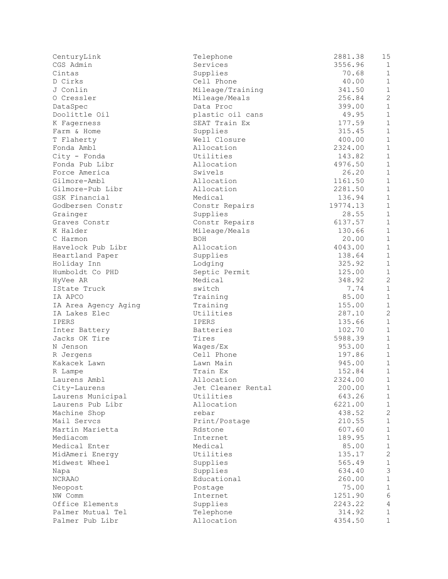| CenturyLink          | Telephone          | 2881.38  | 15             |
|----------------------|--------------------|----------|----------------|
| CGS Admin            | Services           | 3556.96  | $\mathbf{1}$   |
| Cintas               | Supplies           | 70.68    | $\mathbf{1}$   |
| D Cirks              | Cell Phone         | 40.00    | $\mathbf{1}$   |
| J Conlin             | Mileage/Training   | 341.50   | $\mathbf{1}$   |
| O Cressler           | Mileage/Meals      | 256.84   | $\overline{c}$ |
| DataSpec             | Data Proc          | 399.00   | $\mathbf{1}$   |
| Doolittle Oil        | plastic oil cans   | 49.95    | $\mathbf{1}$   |
| K Fagerness          | SEAT Train Ex      | 177.59   | $\mathbf{1}$   |
| Farm & Home          | Supplies           | 315.45   | $\mathbf{1}$   |
| T Flaherty           | Well Closure       | 400.00   | $\mathbf{1}$   |
| Fonda Ambl           | Allocation         | 2324.00  | $\mathbf{1}$   |
| City - Fonda         | Utilities          | 143.82   | $\mathbf{1}$   |
| Fonda Pub Libr       | Allocation         | 4976.50  | $\mathbf{1}$   |
| Force America        | Swivels            | 26.20    | $\overline{1}$ |
| Gilmore-Ambl         | Allocation         | 1161.50  | $\mathbf{1}$   |
| Gilmore-Pub Libr     | Allocation         | 2281.50  | $\mathbf{1}$   |
| GSK Financial        | Medical            | 136.94   | $\mathbf{1}$   |
| Godbersen Constr     | Constr Repairs     | 19774.13 | $\mathbf{1}$   |
| Grainger             | Supplies           | 28.55    | $\mathbf{1}$   |
| Graves Constr        | Constr Repairs     | 6137.57  | $\mathbf{1}$   |
| K Halder             | Mileage/Meals      | 130.66   | $\mathbf{1}$   |
| C Harmon             | BOH                | 20.00    | $\mathbf{1}$   |
| Havelock Pub Libr    | Allocation         | 4043.00  | $\overline{1}$ |
| Heartland Paper      | Supplies           | 138.64   | $\mathbf{1}$   |
| Holiday Inn          | Lodging            | 325.92   | $\mathbf{1}$   |
| Humboldt Co PHD      | Septic Permit      | 125.00   | $\mathbf{1}$   |
| HyVee AR             | Medical            | 348.92   | $\overline{c}$ |
| IState Truck         | switch             | 7.74     | $\mathbf{1}$   |
| IA APCO              | Training           | 85.00    | $\mathbf{1}$   |
| IA Area Agency Aging | Training           | 155.00   | $\mathbf{1}$   |
| IA Lakes Elec        | Utilities          | 287.10   | $\overline{c}$ |
| IPERS                | <b>IPERS</b>       | 135.66   | $\mathbf{1}$   |
| Inter Battery        | Batteries          | 102.70   | $\overline{1}$ |
| Jacks OK Tire        | Tires              | 5988.39  | $\mathbf{1}$   |
| N Jenson             | Wages/Ex           | 953.00   | $\mathbf{1}$   |
| R Jergens            | Cell Phone         | 197.86   | $\mathbf{1}$   |
| Kakacek Lawn         | Lawn Main          | 945.00   | $\mathbf{1}$   |
| R Lampe              | Train Ex           | 152.84   | $\mathbf{1}$   |
| Laurens Ambl         | Allocation         | 2324.00  | $\mathbf{1}$   |
| City-Laurens         | Jet Cleaner Rental | 200.00   | 1              |
| Laurens Municipal    | Utilities          | 643.26   | 1              |
| Laurens Pub Libr     | Allocation         | 6221.00  | 1              |
| Machine Shop         | rebar              | 438.52   | $\overline{c}$ |
| Mail Servcs          | Print/Postage      | 210.55   | $\mathbf{1}$   |
| Martin Marietta      | Rdstone            | 607.60   | $\mathbf{1}$   |
| Mediacom             | Internet           | 189.95   | $\mathbf{1}$   |
| Medical Enter        | Medical            | 85.00    | $\mathbf{1}$   |
| MidAmeri Energy      | Utilities          | 135.17   | $\overline{c}$ |
| Midwest Wheel        | Supplies           | 565.49   | $\mathbf{1}$   |
| Napa                 | Supplies           | 634.40   | 3              |
| NCRAAO               | Educational        | 260.00   | $\mathbf{1}$   |
| Neopost              | Postage            | 75.00    | $\mathbf{1}$   |
| NW Comm              | Internet           | 1251.90  | 6              |
| Office Elements      | Supplies           | 2243.22  | $\overline{4}$ |
| Palmer Mutual Tel    | Telephone          | 314.92   | $\mathbf 1$    |
| Palmer Pub Libr      | Allocation         | 4354.50  | $\mathbf{1}$   |
|                      |                    |          |                |

| 3556.<br>96<br>$\mathbf{1}$<br>68<br>70<br>1<br>$\ddot{\phantom{0}}$<br>$\mathbf{1}$<br>40<br>0 <sub>0</sub><br>$\mathbf{1}$<br>341<br>50<br>$\overline{c}$<br>$\ddot{\phantom{a}}$<br>256<br>84<br>$\ddot{\phantom{0}}$<br>$\mathbf 1$<br>399<br>0 <sub>0</sub><br>$\ddot{\phantom{0}}$<br>$\mathbf 1$<br>49<br>95<br>$\mathbf{1}$<br>59<br>177<br>$\mathbf 1$<br>315<br>45<br>$\ddot{\phantom{0}}$<br>$\mathbf{1}$<br>400<br>00<br>$\ddot{\phantom{0}}$<br>2324<br>0 <sub>0</sub><br>1<br>$\ddot{\phantom{0}}$<br>143<br>$\mathbf 1$<br>82<br>$\ddot{\phantom{0}}$<br>$\ddot{\phantom{0}}$<br>4976<br>50<br>$\mathbf 1$<br>$\ddot{\phantom{0}}$<br>20<br>$\mathbf 1$<br>26<br>$\ddot{\phantom{a}}$<br>50<br>$\mathbf{1}$<br>1161<br>2281<br>$\ddot{\phantom{0}}$<br>50<br>$\mathbf{1}$<br>$\mathbf{1}$<br>94<br>136<br>$\ddot{\phantom{0}}$<br>13<br>$\mathbf 1$<br>9774<br>$\ddot{\phantom{0}}$<br>1 |
|---------------------------------------------------------------------------------------------------------------------------------------------------------------------------------------------------------------------------------------------------------------------------------------------------------------------------------------------------------------------------------------------------------------------------------------------------------------------------------------------------------------------------------------------------------------------------------------------------------------------------------------------------------------------------------------------------------------------------------------------------------------------------------------------------------------------------------------------------------------------------------------------------------|
|                                                                                                                                                                                                                                                                                                                                                                                                                                                                                                                                                                                                                                                                                                                                                                                                                                                                                                         |
|                                                                                                                                                                                                                                                                                                                                                                                                                                                                                                                                                                                                                                                                                                                                                                                                                                                                                                         |
|                                                                                                                                                                                                                                                                                                                                                                                                                                                                                                                                                                                                                                                                                                                                                                                                                                                                                                         |
|                                                                                                                                                                                                                                                                                                                                                                                                                                                                                                                                                                                                                                                                                                                                                                                                                                                                                                         |
|                                                                                                                                                                                                                                                                                                                                                                                                                                                                                                                                                                                                                                                                                                                                                                                                                                                                                                         |
|                                                                                                                                                                                                                                                                                                                                                                                                                                                                                                                                                                                                                                                                                                                                                                                                                                                                                                         |
|                                                                                                                                                                                                                                                                                                                                                                                                                                                                                                                                                                                                                                                                                                                                                                                                                                                                                                         |
|                                                                                                                                                                                                                                                                                                                                                                                                                                                                                                                                                                                                                                                                                                                                                                                                                                                                                                         |
|                                                                                                                                                                                                                                                                                                                                                                                                                                                                                                                                                                                                                                                                                                                                                                                                                                                                                                         |
|                                                                                                                                                                                                                                                                                                                                                                                                                                                                                                                                                                                                                                                                                                                                                                                                                                                                                                         |
|                                                                                                                                                                                                                                                                                                                                                                                                                                                                                                                                                                                                                                                                                                                                                                                                                                                                                                         |
|                                                                                                                                                                                                                                                                                                                                                                                                                                                                                                                                                                                                                                                                                                                                                                                                                                                                                                         |
| 28<br>55<br>$\mathbf{1}$                                                                                                                                                                                                                                                                                                                                                                                                                                                                                                                                                                                                                                                                                                                                                                                                                                                                                |
| 57<br>$\mathbf 1$<br>6137                                                                                                                                                                                                                                                                                                                                                                                                                                                                                                                                                                                                                                                                                                                                                                                                                                                                               |
| 130<br>.66<br>$\mathbf 1$                                                                                                                                                                                                                                                                                                                                                                                                                                                                                                                                                                                                                                                                                                                                                                                                                                                                               |
| 20<br>$\mathbf{1}$<br>0 <sub>0</sub><br>$\ddot{\phantom{0}}$<br>4043<br>$\mathbf 1$<br>0 <sub>0</sub>                                                                                                                                                                                                                                                                                                                                                                                                                                                                                                                                                                                                                                                                                                                                                                                                   |
| $\ddot{\phantom{a}}$<br>$\mathbf 1$<br>138<br>64                                                                                                                                                                                                                                                                                                                                                                                                                                                                                                                                                                                                                                                                                                                                                                                                                                                        |
| 325<br>$\mathbf 1$<br>92<br>$\mathbf{1}$<br>125<br>$\ddot{\phantom{0}}$<br>0 <sub>0</sub>                                                                                                                                                                                                                                                                                                                                                                                                                                                                                                                                                                                                                                                                                                                                                                                                               |
| $\overline{c}$<br>348<br>92<br>$\ddot{\phantom{0}}$                                                                                                                                                                                                                                                                                                                                                                                                                                                                                                                                                                                                                                                                                                                                                                                                                                                     |
| 74<br>$\mathbf{1}$<br>7<br>$\mathbf 1$                                                                                                                                                                                                                                                                                                                                                                                                                                                                                                                                                                                                                                                                                                                                                                                                                                                                  |
| 85<br>0 <sub>0</sub><br>$\ddot{\phantom{0}}$<br>$\mathbf{1}$<br>155.00                                                                                                                                                                                                                                                                                                                                                                                                                                                                                                                                                                                                                                                                                                                                                                                                                                  |
| $\overline{c}$<br>287<br>10                                                                                                                                                                                                                                                                                                                                                                                                                                                                                                                                                                                                                                                                                                                                                                                                                                                                             |
| $\ddot{\phantom{0}}$<br>135<br>$\mathbf{1}$<br>66<br>$\ddot{\phantom{0}}$<br>$\mathbf{1}$<br>102<br>70                                                                                                                                                                                                                                                                                                                                                                                                                                                                                                                                                                                                                                                                                                                                                                                                  |
| 39<br>$\mathbf{1}$<br>5988                                                                                                                                                                                                                                                                                                                                                                                                                                                                                                                                                                                                                                                                                                                                                                                                                                                                              |
| $\mathbf{1}$<br>953<br>0 <sub>0</sub><br>$\mathbf{1}$<br>197<br>86                                                                                                                                                                                                                                                                                                                                                                                                                                                                                                                                                                                                                                                                                                                                                                                                                                      |
| $\mathbf{1}$<br>945<br>0 <sub>0</sub>                                                                                                                                                                                                                                                                                                                                                                                                                                                                                                                                                                                                                                                                                                                                                                                                                                                                   |
| 152<br>$\mathbf{1}$<br>84<br>$\ddot{\phantom{0}}$<br>$\mathbf{1}$<br>2324.00                                                                                                                                                                                                                                                                                                                                                                                                                                                                                                                                                                                                                                                                                                                                                                                                                            |
| 200.00<br>$\mathbf{1}$                                                                                                                                                                                                                                                                                                                                                                                                                                                                                                                                                                                                                                                                                                                                                                                                                                                                                  |
| 643.26<br>$\mathbf{1}$                                                                                                                                                                                                                                                                                                                                                                                                                                                                                                                                                                                                                                                                                                                                                                                                                                                                                  |
| $\mathbf{1}$<br>6221.00<br>$\overline{c}$<br>438.52                                                                                                                                                                                                                                                                                                                                                                                                                                                                                                                                                                                                                                                                                                                                                                                                                                                     |
| $\mathbf{1}$<br>210.55                                                                                                                                                                                                                                                                                                                                                                                                                                                                                                                                                                                                                                                                                                                                                                                                                                                                                  |
| $\mathbf{1}$<br>607.60<br>$\mathbf{1}$<br>189.95                                                                                                                                                                                                                                                                                                                                                                                                                                                                                                                                                                                                                                                                                                                                                                                                                                                        |
| $\frac{1}{2}$<br>85.00                                                                                                                                                                                                                                                                                                                                                                                                                                                                                                                                                                                                                                                                                                                                                                                                                                                                                  |
| 135.<br>17<br>$\frac{1}{1}$<br>565.49                                                                                                                                                                                                                                                                                                                                                                                                                                                                                                                                                                                                                                                                                                                                                                                                                                                                   |
| 3<br>634.40                                                                                                                                                                                                                                                                                                                                                                                                                                                                                                                                                                                                                                                                                                                                                                                                                                                                                             |
| $\mathbf{1}$<br>260.00                                                                                                                                                                                                                                                                                                                                                                                                                                                                                                                                                                                                                                                                                                                                                                                                                                                                                  |
| $\mathbf{1}$<br>75.00<br>6<br>1251.90                                                                                                                                                                                                                                                                                                                                                                                                                                                                                                                                                                                                                                                                                                                                                                                                                                                                   |
| 2243.22<br>4                                                                                                                                                                                                                                                                                                                                                                                                                                                                                                                                                                                                                                                                                                                                                                                                                                                                                            |
| $\mathbf{1}$<br>314.92<br>$\mathbf 1$<br>4354.50                                                                                                                                                                                                                                                                                                                                                                                                                                                                                                                                                                                                                                                                                                                                                                                                                                                        |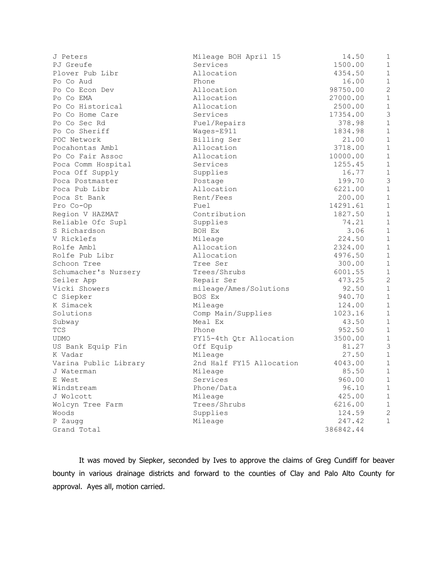| J Peters              | Mileage BOH April 15     | 14.50     | $\mathbf{1}$   |
|-----------------------|--------------------------|-----------|----------------|
| PJ Greufe             | Services                 | 1500.00   | $\mathbf{1}$   |
| Plover Pub Libr       | Allocation               | 4354.50   | $\mathbf{1}$   |
| Po Co Aud             | Phone                    | 16.00     | $\mathbf 1$    |
| Po Co Econ Dev        | Allocation               | 98750.00  | $\overline{2}$ |
| Po Co EMA             | Allocation               | 27000.00  | $\mathbf{1}$   |
| Po Co Historical      | Allocation               | 2500.00   | $\mathbf 1$    |
| Po Co Home Care       | Services                 | 17354.00  | $\mathfrak{Z}$ |
| Po Co Sec Rd          | Fuel/Repairs             | 378.98    | $\mathbf{1}$   |
| Po Co Sheriff         | Wages-E911               | 1834.98   | $\mathbf 1$    |
| POC Network           | Billing Ser              | 21.00     | $\mathbf{1}$   |
| Pocahontas Ambl       | Allocation               | 3718.00   | $\mathbf{1}$   |
| Po Co Fair Assoc      | Allocation               | 10000.00  | $\mathbf 1$    |
| Poca Comm Hospital    | Services                 | 1255.45   | $\mathbf{1}$   |
| Poca Off Supply       | Supplies                 | 16.77     | $\mathbf 1$    |
| Poca Postmaster       | Postage                  | 199.70    | 3              |
| Poca Pub Libr         | Allocation               | 6221.00   | $\mathbf{1}$   |
| Poca St Bank          | Rent/Fees                | 200.00    | $\mathbf 1$    |
| Pro Co-Op             | Fuel                     | 14291.61  | $\mathbf{1}$   |
| Region V HAZMAT       | Contribution             | 1827.50   | $\mathbf{1}$   |
| Reliable Ofc Supl     | Supplies                 | 74.21     | $\mathbf{1}$   |
| S Richardson          | BOH Ex                   | 3.06      | $\mathbf{1}$   |
| V Ricklefs            | Mileage                  | 224.50    | $\mathbf{1}$   |
| Rolfe Ambl            | Allocation               | 2324.00   | $\mathbf{1}$   |
| Rolfe Pub Libr        | Allocation               | 4976.50   | $\mathbf{1}$   |
| Schoon Tree           | Tree Ser                 | 300.00    | $\mathbf{1}$   |
| Schumacher's Nursery  | Trees/Shrubs             | 6001.55   | $\mathbf{1}$   |
| Seiler App            | Repair Ser               | 473.25    | $\overline{c}$ |
| Vicki Showers         | mileage/Ames/Solutions   | 92.50     | $\mathbf{1}$   |
| C Siepker             | BOS Ex                   | 940.70    | $\mathbf{1}$   |
| K Simacek             | Mileage                  | 124.00    | $\mathbf 1$    |
| Solutions             | Comp Main/Supplies       | 1023.16   | $\mathbf 1$    |
| Subway                | Meal Ex                  | 43.50     | $\mathbf{1}$   |
| TCS                   | Phone                    | 952.50    | $\mathbf{1}$   |
| <b>UDMO</b>           | FY15-4th Qtr Allocation  | 3500.00   | $\mathbf{1}$   |
| US Bank Equip Fin     | Off Equip                | 81.27     | $\mathfrak{Z}$ |
| K Vadar               | Mileage                  | 27.50     | $\mathbf{1}$   |
| Varina Public Library | 2nd Half FY15 Allocation | 4043.00   | $\mathbf{1}$   |
| J Waterman            | Mileage                  | 85.50     | $\mathbf{1}$   |
| E West                | Services                 | 960.00    | $\mathbf 1$    |
| Windstream            | Phone/Data               | 96.10     | $\mathbf{1}$   |
| J Wolcott             | Mileage                  | 425.00    | $\mathbf 1$    |
| Wolcyn Tree Farm      | Trees/Shrubs             | 6216.00   | $\mathbf{1}$   |
| Woods                 | Supplies                 | 124.59    | $\mathbf{2}$   |
| P Zaugg               | Mileage                  | 247.42    | $\mathbf{1}$   |
| Grand Total           |                          | 386842.44 |                |
|                       |                          |           |                |

It was moved by Siepker, seconded by Ives to approve the claims of Greg Cundiff for beaver bounty in various drainage districts and forward to the counties of Clay and Palo Alto County for approval. Ayes all, motion carried.